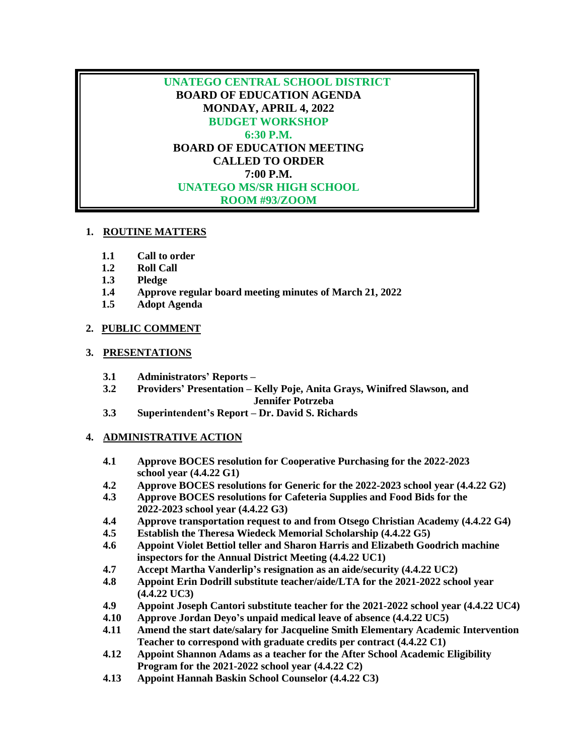**UNATEGO CENTRAL SCHOOL DISTRICT BOARD OF EDUCATION AGENDA MONDAY, APRIL 4, 2022 BUDGET WORKSHOP 6:30 P.M. BOARD OF EDUCATION MEETING CALLED TO ORDER 7:00 P.M. UNATEGO MS/SR HIGH SCHOOL ROOM #93/ZOOM**

## **1. ROUTINE MATTERS**

- **1.1 Call to order**
- **1.2 Roll Call**
- **1.3 Pledge**
- **1.4 Approve regular board meeting minutes of March 21, 2022**
- **1.5 Adopt Agenda**

## **2. PUBLIC COMMENT**

## **3. PRESENTATIONS**

- **3.1 Administrators' Reports –**
- **3.2 Providers' Presentation – Kelly Poje, Anita Grays, Winifred Slawson, and Jennifer Potrzeba**
- **3.3 Superintendent's Report – Dr. David S. Richards**

## **4. ADMINISTRATIVE ACTION**

- **4.1 Approve BOCES resolution for Cooperative Purchasing for the 2022-2023 school year (4.4.22 G1)**
- **4.2 Approve BOCES resolutions for Generic for the 2022-2023 school year (4.4.22 G2)**
- **4.3 Approve BOCES resolutions for Cafeteria Supplies and Food Bids for the 2022-2023 school year (4.4.22 G3)**
- **4.4 Approve transportation request to and from Otsego Christian Academy (4.4.22 G4)**
- **4.5 Establish the Theresa Wiedeck Memorial Scholarship (4.4.22 G5)**
- **4.6 Appoint Violet Bettiol teller and Sharon Harris and Elizabeth Goodrich machine inspectors for the Annual District Meeting (4.4.22 UC1)**
- **4.7 Accept Martha Vanderlip's resignation as an aide/security (4.4.22 UC2)**
- **4.8 Appoint Erin Dodrill substitute teacher/aide/LTA for the 2021-2022 school year (4.4.22 UC3)**
- **4.9 Appoint Joseph Cantori substitute teacher for the 2021-2022 school year (4.4.22 UC4)**
- **4.10 Approve Jordan Deyo's unpaid medical leave of absence (4.4.22 UC5)**
- **4.11 Amend the start date/salary for Jacqueline Smith Elementary Academic Intervention Teacher to correspond with graduate credits per contract (4.4.22 C1)**
- **4.12 Appoint Shannon Adams as a teacher for the After School Academic Eligibility Program for the 2021-2022 school year (4.4.22 C2)**
- **4.13 Appoint Hannah Baskin School Counselor (4.4.22 C3)**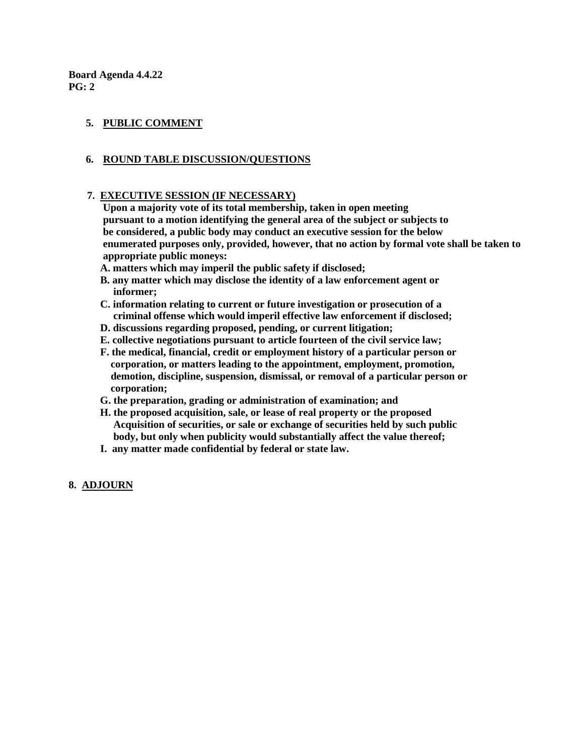**Board Agenda 4.4.22 PG: 2**

## **5. PUBLIC COMMENT**

## **6. ROUND TABLE DISCUSSION/QUESTIONS**

#### **7. EXECUTIVE SESSION (IF NECESSARY)**

 **Upon a majority vote of its total membership, taken in open meeting pursuant to a motion identifying the general area of the subject or subjects to be considered, a public body may conduct an executive session for the below enumerated purposes only, provided, however, that no action by formal vote shall be taken to appropriate public moneys:** 

- **A. matters which may imperil the public safety if disclosed;**
- **B. any matter which may disclose the identity of a law enforcement agent or informer;**
- **C. information relating to current or future investigation or prosecution of a criminal offense which would imperil effective law enforcement if disclosed;**
- **D. discussions regarding proposed, pending, or current litigation;**
- **E. collective negotiations pursuant to article fourteen of the civil service law;**
- **F. the medical, financial, credit or employment history of a particular person or corporation, or matters leading to the appointment, employment, promotion, demotion, discipline, suspension, dismissal, or removal of a particular person or corporation;**
- **G. the preparation, grading or administration of examination; and**
- **H. the proposed acquisition, sale, or lease of real property or the proposed Acquisition of securities, or sale or exchange of securities held by such public body, but only when publicity would substantially affect the value thereof;**
- **I. any matter made confidential by federal or state law.**

## **8. ADJOURN**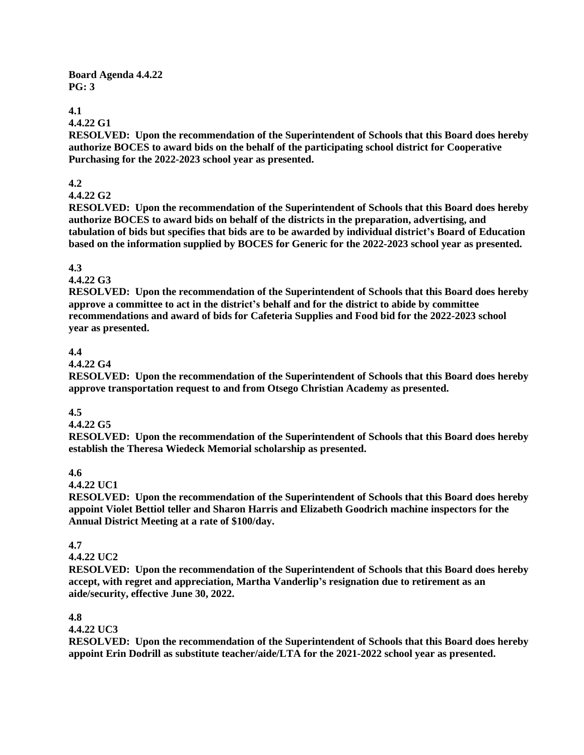#### **Board Agenda 4.4.22 PG: 3**

## **4.1**

## **4.4.22 G1**

**RESOLVED: Upon the recommendation of the Superintendent of Schools that this Board does hereby authorize BOCES to award bids on the behalf of the participating school district for Cooperative Purchasing for the 2022-2023 school year as presented.**

## **4.2**

## **4.4.22 G2**

**RESOLVED: Upon the recommendation of the Superintendent of Schools that this Board does hereby authorize BOCES to award bids on behalf of the districts in the preparation, advertising, and tabulation of bids but specifies that bids are to be awarded by individual district's Board of Education based on the information supplied by BOCES for Generic for the 2022-2023 school year as presented.**

## **4.3**

## **4.4.22 G3**

**RESOLVED: Upon the recommendation of the Superintendent of Schools that this Board does hereby approve a committee to act in the district's behalf and for the district to abide by committee recommendations and award of bids for Cafeteria Supplies and Food bid for the 2022-2023 school year as presented.** 

## **4.4**

## **4.4.22 G4**

**RESOLVED: Upon the recommendation of the Superintendent of Schools that this Board does hereby approve transportation request to and from Otsego Christian Academy as presented.** 

## **4.5**

## **4.4.22 G5**

**RESOLVED: Upon the recommendation of the Superintendent of Schools that this Board does hereby establish the Theresa Wiedeck Memorial scholarship as presented.**

## **4.6**

## **4.4.22 UC1**

**RESOLVED: Upon the recommendation of the Superintendent of Schools that this Board does hereby appoint Violet Bettiol teller and Sharon Harris and Elizabeth Goodrich machine inspectors for the Annual District Meeting at a rate of \$100/day.** 

## **4.7**

## **4.4.22 UC2**

**RESOLVED: Upon the recommendation of the Superintendent of Schools that this Board does hereby accept, with regret and appreciation, Martha Vanderlip's resignation due to retirement as an aide/security, effective June 30, 2022.**

## **4.8**

## **4.4.22 UC3**

**RESOLVED: Upon the recommendation of the Superintendent of Schools that this Board does hereby appoint Erin Dodrill as substitute teacher/aide/LTA for the 2021-2022 school year as presented.**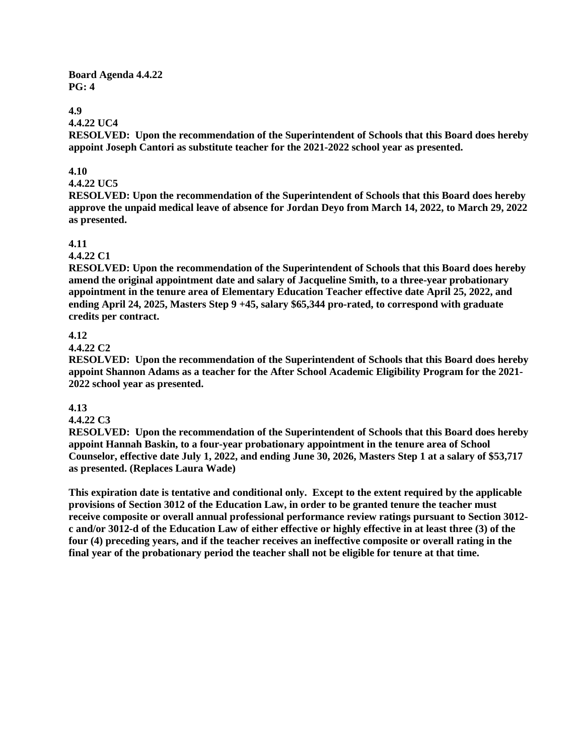**Board Agenda 4.4.22 PG: 4**

## **4.9**

#### **4.4.22 UC4**

**RESOLVED: Upon the recommendation of the Superintendent of Schools that this Board does hereby appoint Joseph Cantori as substitute teacher for the 2021-2022 school year as presented.** 

## **4.10**

## **4.4.22 UC5**

**RESOLVED: Upon the recommendation of the Superintendent of Schools that this Board does hereby approve the unpaid medical leave of absence for Jordan Deyo from March 14, 2022, to March 29, 2022 as presented.**

#### **4.11**

#### **4.4.22 C1**

**RESOLVED: Upon the recommendation of the Superintendent of Schools that this Board does hereby amend the original appointment date and salary of Jacqueline Smith, to a three-year probationary appointment in the tenure area of Elementary Education Teacher effective date April 25, 2022, and ending April 24, 2025, Masters Step 9 +45, salary \$65,344 pro-rated, to correspond with graduate credits per contract.**

## **4.12**

#### **4.4.22 C2**

**RESOLVED: Upon the recommendation of the Superintendent of Schools that this Board does hereby appoint Shannon Adams as a teacher for the After School Academic Eligibility Program for the 2021- 2022 school year as presented.**

### **4.13**

#### **4.4.22 C3**

**RESOLVED: Upon the recommendation of the Superintendent of Schools that this Board does hereby appoint Hannah Baskin, to a four-year probationary appointment in the tenure area of School Counselor, effective date July 1, 2022, and ending June 30, 2026, Masters Step 1 at a salary of \$53,717 as presented. (Replaces Laura Wade)**

**This expiration date is tentative and conditional only. Except to the extent required by the applicable provisions of Section 3012 of the Education Law, in order to be granted tenure the teacher must receive composite or overall annual professional performance review ratings pursuant to Section 3012 c and/or 3012-d of the Education Law of either effective or highly effective in at least three (3) of the four (4) preceding years, and if the teacher receives an ineffective composite or overall rating in the final year of the probationary period the teacher shall not be eligible for tenure at that time.**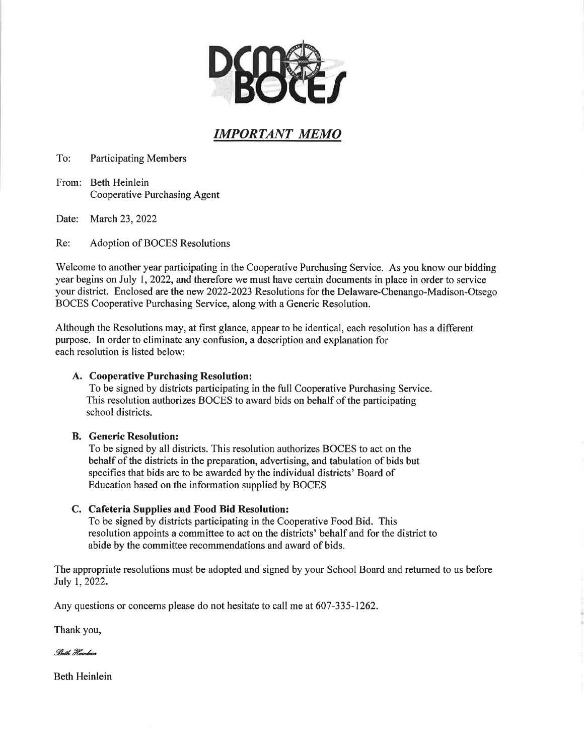

# IMPORTANT MEMO

To: **Participating Members** 

From: Beth Heinlein **Cooperative Purchasing Agent** 

Date: March 23, 2022

Re: Adoption of BOCES Resolutions

Welcome to another year participating in the Cooperative Purchasing Service. As you know our bidding year begins on July 1, 2022, and therefore we must have certain documents in place in order to service your district. Enclosed are the new 2022-2023 Resolutions for the Delaware-Chenango-Madison-Otsego BOCES Cooperative Purchasing Service, along with a Generic Resolution.

Although the Resolutions may, at first glance, appear to be identical, each resolution has a different purpose. In order to eliminate any confusion, a description and explanation for each resolution is listed below:

## A. Cooperative Purchasing Resolution:

To be signed by districts participating in the full Cooperative Purchasing Service. This resolution authorizes BOCES to award bids on behalf of the participating school districts.

## **B.** Generic Resolution:

To be signed by all districts. This resolution authorizes BOCES to act on the behalf of the districts in the preparation, advertising, and tabulation of bids but specifies that bids are to be awarded by the individual districts' Board of Education based on the information supplied by BOCES

## C. Cafeteria Supplies and Food Bid Resolution:

To be signed by districts participating in the Cooperative Food Bid. This resolution appoints a committee to act on the districts' behalf and for the district to abide by the committee recommendations and award of bids.

The appropriate resolutions must be adopted and signed by your School Board and returned to us before July 1, 2022.

Any questions or concerns please do not hesitate to call me at 607-335-1262.

Thank you,

Both Hointoin

**Beth Heinlein**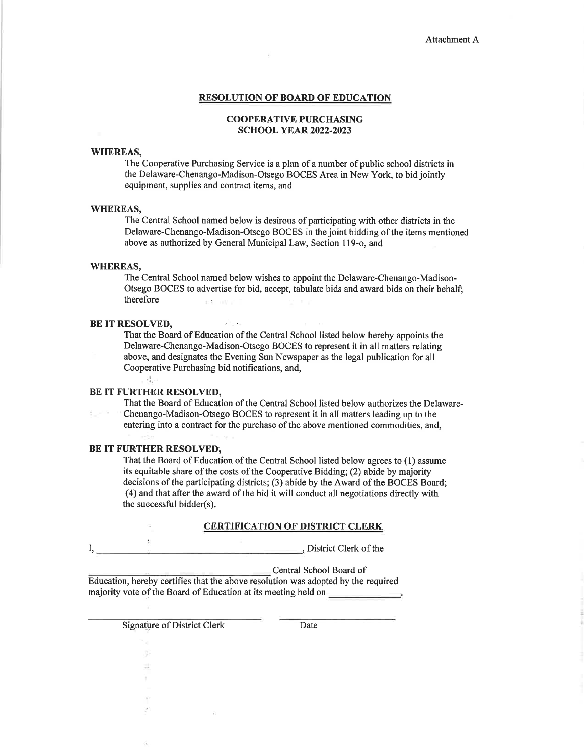#### **RESOLUTION OF BOARD OF EDUCATION**

#### **COOPERATIVE PURCHASING SCHOOL YEAR 2022-2023**

### **WHEREAS,**

The Cooperative Purchasing Service is a plan of a number of public school districts in the Delaware-Chenango-Madison-Otsego BOCES Area in New York, to bid jointly equipment, supplies and contract items, and

#### **WHEREAS.**

The Central School named below is desirous of participating with other districts in the Delaware-Chenango-Madison-Otsego BOCES in the joint bidding of the items mentioned above as authorized by General Municipal Law, Section 119-o, and

## **WHEREAS,**

**County** 

The Central School named below wishes to appoint the Delaware-Chenango-Madison-Otsego BOCES to advertise for bid, accept, tabulate bids and award bids on their behalf; therefore  $\approx 5-100$ 

#### **BE IT RESOLVED,**

That the Board of Education of the Central School listed below hereby appoints the Delaware-Chenango-Madison-Otsego BOCES to represent it in all matters relating above, and designates the Evening Sun Newspaper as the legal publication for all Cooperative Purchasing bid notifications, and,

## $\frac{1}{2}$ BE IT FURTHER RESOLVED,

That the Board of Education of the Central School listed below authorizes the Delaware-Chenango-Madison-Otsego BOCES to represent it in all matters leading up to the entering into a contract for the purchase of the above mentioned commodities, and,

#### BE IT FURTHER RESOLVED.

 $\overline{\mathcal{A}}$ 

a)

That the Board of Education of the Central School listed below agrees to (1) assume its equitable share of the costs of the Cooperative Bidding; (2) abide by majority decisions of the participating districts; (3) abide by the Award of the BOCES Board; (4) and that after the award of the bid it will conduct all negotiations directly with the successful bidder(s).

#### **CERTIFICATION OF DISTRICT CLERK**

, District Clerk of the  $I, \_$ 

**SALE** 

Central School Board of

Education, hereby certifies that the above resolution was adopted by the required majority vote of the Board of Education at its meeting held on

**Signature of District Clerk** 

Date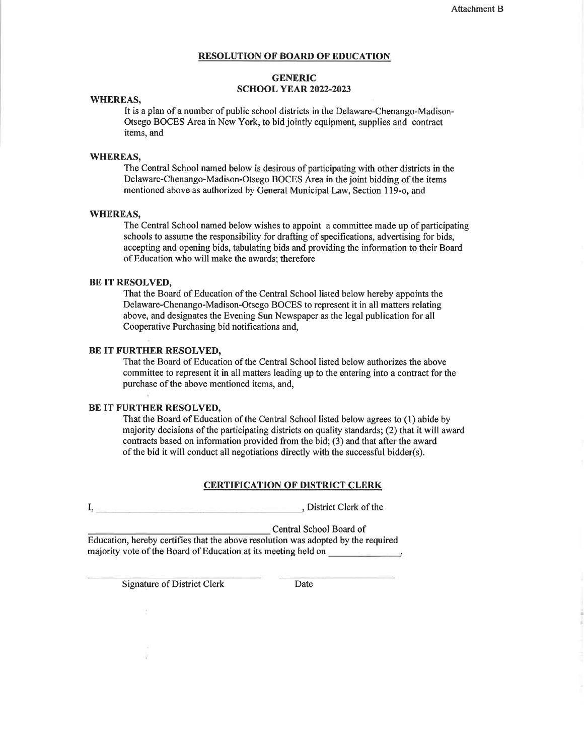#### **RESOLUTION OF BOARD OF EDUCATION**

#### **GENERIC SCHOOL YEAR 2022-2023**

#### **WHEREAS,**

It is a plan of a number of public school districts in the Delaware-Chenango-Madison-Otsego BOCES Area in New York, to bid jointly equipment, supplies and contract items, and

#### **WHEREAS,**

The Central School named below is desirous of participating with other districts in the Delaware-Chenango-Madison-Otsego BOCES Area in the joint bidding of the items mentioned above as authorized by General Municipal Law, Section 119-o, and

#### **WHEREAS.**

The Central School named below wishes to appoint a committee made up of participating schools to assume the responsibility for drafting of specifications, advertising for bids, accepting and opening bids, tabulating bids and providing the information to their Board of Education who will make the awards: therefore

#### **BE IT RESOLVED.**

That the Board of Education of the Central School listed below hereby appoints the Delaware-Chenango-Madison-Otsego BOCES to represent it in all matters relating above, and designates the Evening Sun Newspaper as the legal publication for all Cooperative Purchasing bid notifications and,

## BE IT FURTHER RESOLVED,

That the Board of Education of the Central School listed below authorizes the above committee to represent it in all matters leading up to the entering into a contract for the purchase of the above mentioned items, and,

#### **BE IT FURTHER RESOLVED.**

That the Board of Education of the Central School listed below agrees to (1) abide by majority decisions of the participating districts on quality standards; (2) that it will award contracts based on information provided from the bid; (3) and that after the award of the bid it will conduct all negotiations directly with the successful bidder(s).

#### **CERTIFICATION OF DISTRICT CLERK**

I, District Clerk of the

Central School Board of

Education, hereby certifies that the above resolution was adopted by the required majority vote of the Board of Education at its meeting held on

**Signature of District Clerk** 

Date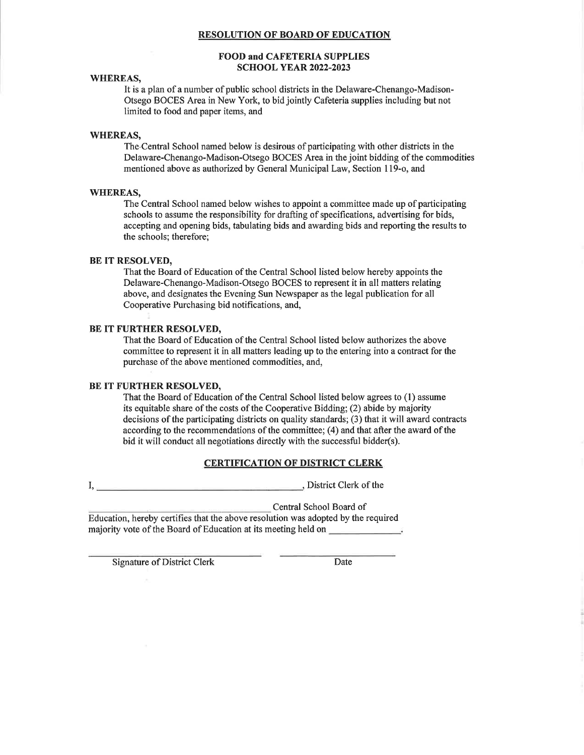#### **RESOLUTION OF BOARD OF EDUCATION**

#### **FOOD and CAFETERIA SUPPLIES SCHOOL YEAR 2022-2023**

#### **WHEREAS,**

It is a plan of a number of public school districts in the Delaware-Chenango-Madison-Otsego BOCES Area in New York, to bid jointly Cafeteria supplies including but not limited to food and paper items, and

#### **WHEREAS,**

The Central School named below is desirous of participating with other districts in the Delaware-Chenango-Madison-Otsego BOCES Area in the joint bidding of the commodities mentioned above as authorized by General Municipal Law, Section 119-o, and

#### **WHEREAS,**

The Central School named below wishes to appoint a committee made up of participating schools to assume the responsibility for drafting of specifications, advertising for bids, accepting and opening bids, tabulating bids and awarding bids and reporting the results to the schools; therefore;

#### **BE IT RESOLVED,**

That the Board of Education of the Central School listed below hereby appoints the Delaware-Chenango-Madison-Otsego BOCES to represent it in all matters relating above, and designates the Evening Sun Newspaper as the legal publication for all Cooperative Purchasing bid notifications, and,

#### BE IT FURTHER RESOLVED,

That the Board of Education of the Central School listed below authorizes the above committee to represent it in all matters leading up to the entering into a contract for the purchase of the above mentioned commodities, and,

#### BE IT FURTHER RESOLVED,

That the Board of Education of the Central School listed below agrees to (1) assume its equitable share of the costs of the Cooperative Bidding; (2) abide by majority decisions of the participating districts on quality standards; (3) that it will award contracts according to the recommendations of the committee; (4) and that after the award of the bid it will conduct all negotiations directly with the successful bidder(s).

## **CERTIFICATION OF DISTRICT CLERK**

District Clerk of the  $I,$ 

Central School Board of

Education, hereby certifies that the above resolution was adopted by the required majority vote of the Board of Education at its meeting held on \_\_\_\_\_\_\_\_\_\_\_\_\_.

**Signature of District Clerk** 

Date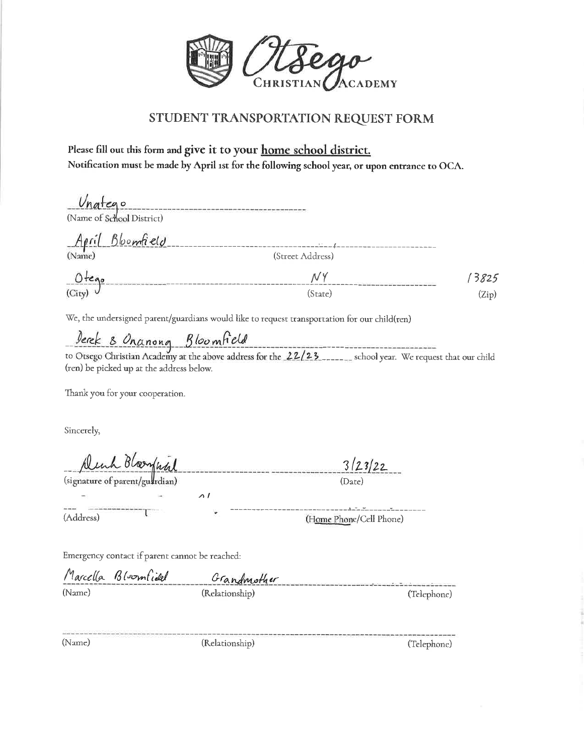

## STUDENT TRANSPORTATION REQUEST FORM

Please fill out this form and give it to your home school district. Notification must be made by April 1st for the following school year, or upon entrance to OCA.

| $1.5 - 1.$       |       |
|------------------|-------|
| (Street Address) |       |
| NY               | 3825  |
| (State)          | (Zip) |
|                  |       |

We, the undersigned parent/guardians would like to request transportation for our child(ren)

Jerek & Onanong Bloomfield<br>to Otsego Christian Academy at the above address for the 22/23 school year. We request that our child (ren) be picked up at the address below.

Thank you for your cooperation.

Sincerely,

<u> Deub Bloomfaal</u>

 $\Lambda$ 

(signature of parent/guardian)

 $3/23/22$ (Date)

(Home Phone/Cell Phone)

(Address)

Emergency contact if parent cannot be reached:

|        | Marcella Bloomfield | Grandmother    |             |
|--------|---------------------|----------------|-------------|
| (Name) |                     | (Relationship) | (Telephone) |

(Name)

(Relationship)

(Telephone)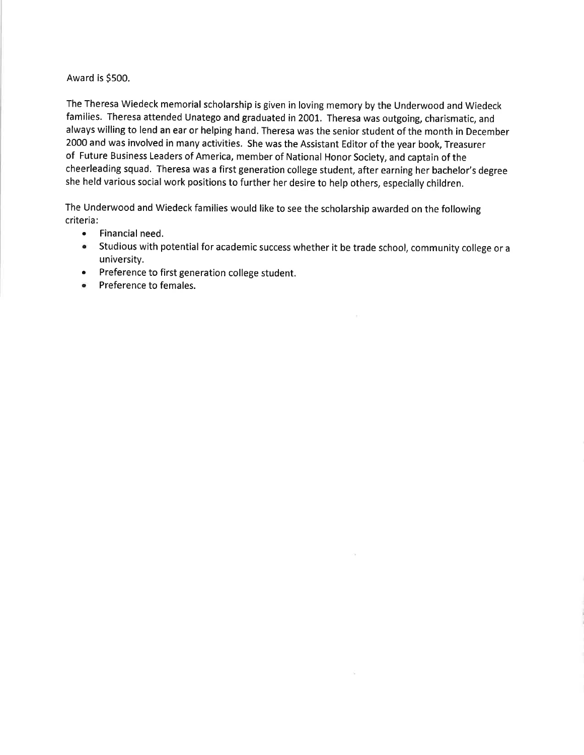## Award is \$500.

The Theresa Wiedeck memorial scholarship is given in loving memory by the Underwood and Wiedeck families. Theresa attended Unatego and graduated in 2001. Theresa was outgoing, charismatic, and always willing to lend an ear or helping hand. Theresa was the senior student of the month in December 2000 and was involved in many activities. She was the Assistant Editor of the year book, Treasurer of Future Business Leaders of America, member of National Honor Society, and captain of the cheerleading squad. Theresa was a first generation college student, after earning her bachelor's degree she held various social work positions to further her desire to help others, especially children.

The Underwood and Wiedeck families would like to see the scholarship awarded on the following criteria:

- $\bullet$ Financial need.
- $\bullet$ Studious with potential for academic success whether it be trade school, community college or a university.

 $\alpha$ 

- Preference to first generation college student.  $\bullet$
- Preference to females.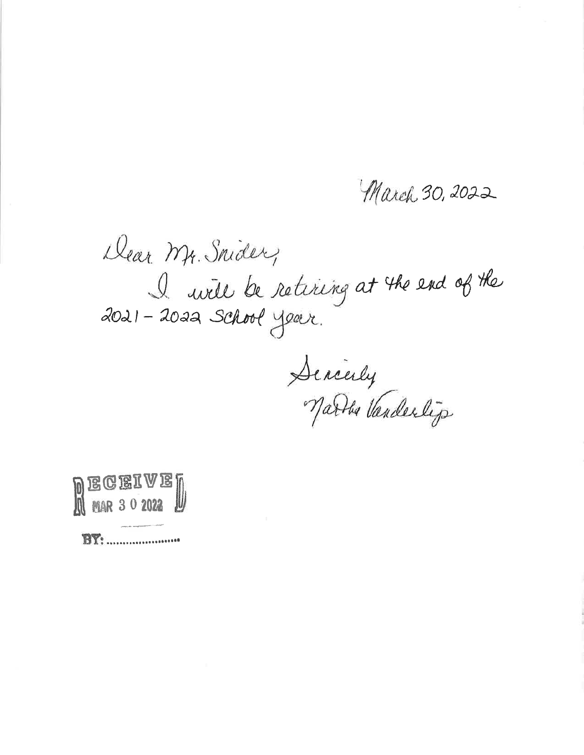March 30, 2022

Dear Mr. Snider, I will be retiring at the end of the<br>2021 - 2022 School year.

Sencerly<br>Narbs Vanderlijs



**BY:** .......................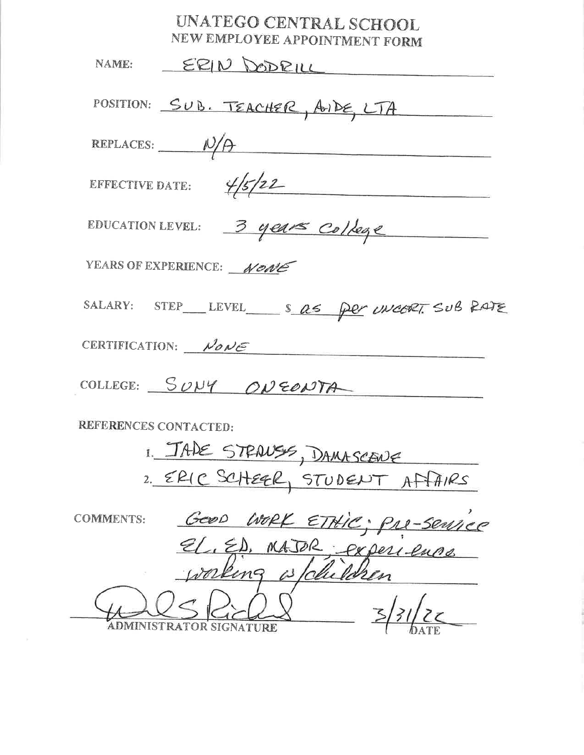| UNATEGO CENTRAL SCHOOL<br>NEW EMPLOYEE APPOINTMENT FORM |
|---------------------------------------------------------|
| ERIN DODRILL<br>NAME:                                   |
| POSITION: SUB. TEACHER, AIDE, LTA                       |
| REPLACES: $N/A$                                         |
| EFFECTIVE DATE: $\frac{4}{5}/22$                        |
| EDUCATION LEVEL: 3 years college                        |
| YEARS OF EXPERIENCE: NONE                               |
| SALARY: STEP_LEVEL_ S as per uncort. SUB RATE           |
| CERTIFICATION: $N \partial N \epsilon$                  |
| COLLEGE: SUNY ONEONTA                                   |
| REFERENCES CONTACTED:                                   |
| 1. JADE STRAUSS, DAMASCENE                              |

| 2. ERIC SCHEER, STUDENT AFFAIRS |  |
|---------------------------------|--|
|                                 |  |

| <b>COMMENTS:</b> |                        | WORK ETHIC: PRE-Service |
|------------------|------------------------|-------------------------|
|                  |                        | OU Deri-ence            |
|                  |                        |                         |
|                  |                        |                         |
|                  | DMINISTRATOR SIGNATURE |                         |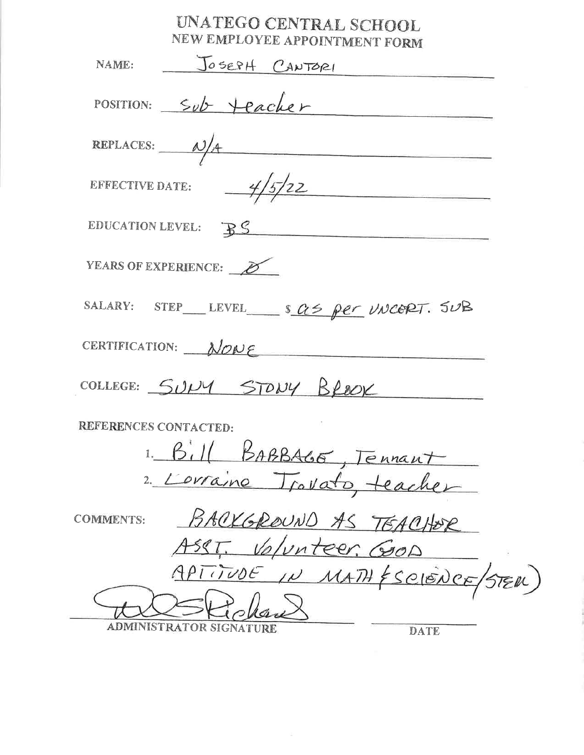# UNATEGO CENTRAL SCHOOL NEW EMPLOYEE APPOINTMENT FORM

| NAME: JOSEPH CANTORI                      |
|-------------------------------------------|
| POSITION: Sub Heacher                     |
| REPLACES: $\frac{\lambda}{4}$             |
| EFFECTIVE DATE: $\frac{4}{5/22}$          |
| EDUCATION LEVEL: BS                       |
| YEARS OF EXPERIENCE:                      |
| SALARY: STEP LEVEL Sas per UNCERT. SUB    |
| CERTIFICATION: NONE                       |
| COLLEGE: SULLY STONY BROOK                |
| REFERENCES CONTACTED:                     |
| 1. Bill BABBAGE, Tennant                  |
| 2. Lorraine Trovato, teacher              |
| BACKGROUND AS TEACHER<br><b>COMMENTS:</b> |
| ASST. Volunteer. Good                     |
| APTITUDE IN<br>MATH ESCIENCE<br>(STER)    |
|                                           |
| ADMINISTRATOR SIGNATURE<br><b>DATE</b>    |

 $\omega$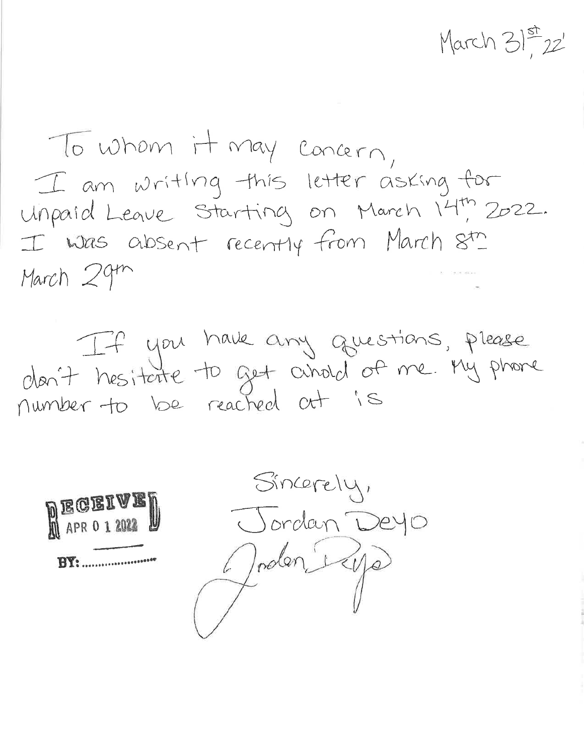March 31st 22'

To whom it may concern, I am writing this letter asking for Unpaid Leave Starting on March 14th 2022. I was absent recently from March  $8^{tn}$ March 29th

If you have any questions, please number to be reached at is



Sincerely, Jordan Deyo Joden Rye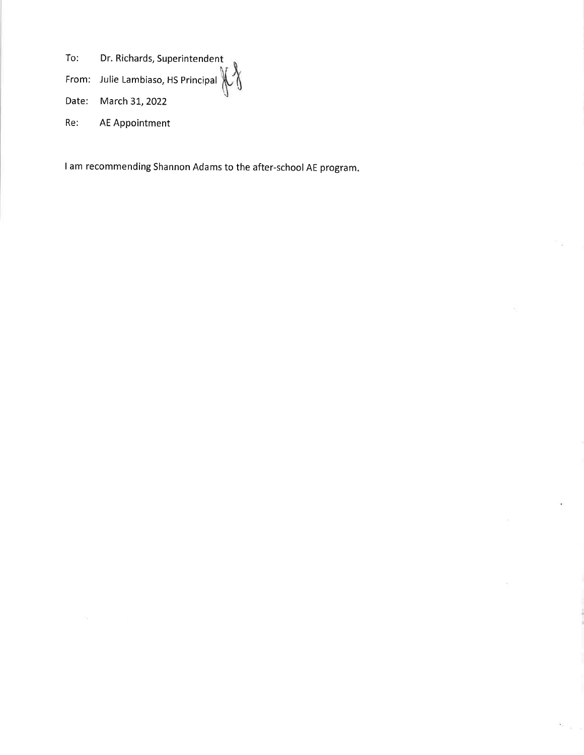Dr. Richards, Superintendent To:

From: Julie Lambiaso, HS Principal  $\left\{\begin{matrix} 1 \\ 1 \end{matrix}\right\}$ 

Date: March 31, 2022

AE Appointment Re:

I am recommending Shannon Adams to the after-school AE program.